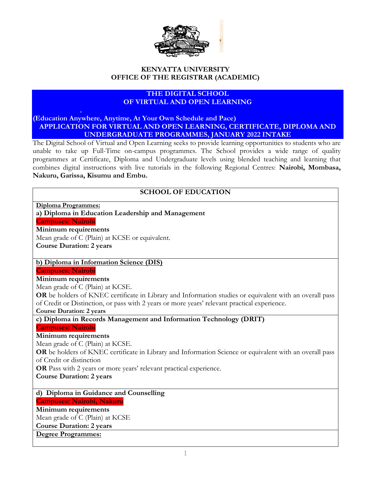

# **KENYATTA UNIVERSITY OFFICE OF THE REGISTRAR (ACADEMIC)**

# **THE DIGITAL SCHOOL OF VIRTUAL AND OPEN LEARNING**

**(Education Anywhere, Anytime, At Your Own Schedule and Pace) APPLICATION FOR VIRTUAL AND OPEN LEARNING, CERTIFICATE, DIPLOMA AND UNDERGRADUATE PROGRAMMES, JANUARY 2022 INTAKE**

The Digital School of Virtual and Open Learning seeks to provide learning opportunities to students who are unable to take up Full-Time on-campus programmes. The School provides a wide range of quality programmes at Certificate, Diploma and Undergraduate levels using blended teaching and learning that combines digital instructions with live tutorials in the following Regional Centres: **Nairobi, Mombasa, Nakuru, Garissa, Kisumu and Embu.**

## **SCHOOL OF EDUCATION**

**Diploma Programmes: a) Diploma in Education Leadership and Management Campuses: Nairobi Minimum requirements** Mean grade of C (Plain) at KCSE or equivalent. **Course Duration: 2 years b) Diploma in Information Science (DIS) Campuses: Nairobi Minimum requirements** Mean grade of C (Plain) at KCSE. **OR** be holders of KNEC certificate in Library and Information studies or equivalent with an overall pass of Credit or Distinction, or pass with 2 years or more years' relevant practical experience. **Course Duration: 2 years c) Diploma in Records Management and Information Technology (DRIT) Campuses: Nairobi Minimum requirements** Mean grade of C (Plain) at KCSE. **OR** be holders of KNEC certificate in Library and Information Science or equivalent with an overall pass of Credit or distinction **OR** Pass with 2 years or more years' relevant practical experience. **Course Duration: 2 years d) Diploma in Guidance and Counselling Campuses: Nairobi, Nakuru Minimum requirements** Mean grade of C (Plain) at KCSE **Course Duration: 2 years Degree Programmes:**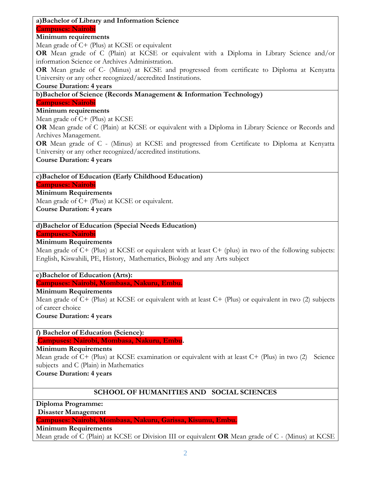#### **a)Bachelor of Library and Information Science Campuses: Nairobi**

## **Minimum requirements**

Mean grade of C+ (Plus) at KCSE or equivalent

**OR** Mean grade of C (Plain) at KCSE or equivalent with a Diploma in Library Science and/or information Science or Archives Administration.

**OR** Mean grade of C- (Minus) at KCSE and progressed from certificate to Diploma at Kenyatta University or any other recognized/accredited Institutions.

## **Course Duration: 4 years**

# **b)Bachelor of Science (Records Management & Information Technology)**

**Campuses: Nairobi**

# **Minimum requirements**

Mean grade of C+ (Plus) at KCSE

**OR** Mean grade of C (Plain) at KCSE or equivalent with a Diploma in Library Science or Records and Archives Management.

**OR** Mean grade of C - (Minus) at KCSE and progressed from Certificate to Diploma at Kenyatta University or any other recognized/accredited institutions.

**Course Duration: 4 years**

## **c)Bachelor of Education (Early Childhood Education)**

**Campuses: Nairobi**

# **Minimum Requirements**

Mean grade of C+ (Plus) at KCSE or equivalent.

**Course Duration: 4 years**

## **d)Bachelor of Education (Special Needs Education)**

## **Campuses: Nairobi**

# **Minimum Requirements**

Mean grade of C+ (Plus) at KCSE or equivalent with at least C+ (plus) in two of the following subjects: English, Kiswahili, PE, History, Mathematics, Biology and any Arts subject

## **e)Bachelor of Education (Arts):**

**Campuses: Nairobi, Mombasa, Nakuru, Embu.**

## **Minimum Requirements**

Mean grade of C+ (Plus) at KCSE or equivalent with at least C+ (Plus) or equivalent in two (2) subjects of career choice

**Course Duration: 4 years**

**f) Bachelor of Education (Science):**

.**Campuses: Nairobi, Mombasa, Nakuru, Embu.**

## **Minimum Requirements**

Mean grade of C+ (Plus) at KCSE examination or equivalent with at least C+ (Plus) in two (2) Science subjects and C (Plain) in Mathematics

## **Course Duration: 4 years**

# **SCHOOL OF HUMANITIES AND SOCIAL SCIENCES**

**Diploma Programme:**

**Disaster Management** 

## **Campuses: Nairobi, Mombasa, Nakuru, Garissa, Kisumu, Embu.**

#### **Minimum Requirements**

Mean grade of C (Plain) at KCSE or Division III or equivalent **OR** Mean grade of C - (Minus) at KCSE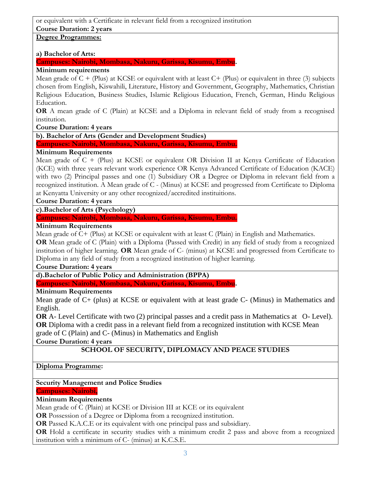or equivalent with a Certificate in relevant field from a recognized institution **Course Duration: 2 years**

# **Degree Programmes:**

## **a) Bachelor of Arts:**

**Campuses: Nairobi, Mombasa, Nakuru, Garissa, Kisumu, Embu.**

# **Minimum requirements**

Mean grade of  $C + (Plus)$  at KCSE or equivalent with at least  $C + (Plus)$  or equivalent in three (3) subjects chosen from English, Kiswahili, Literature, History and Government, Geography, Mathematics, Christian Religious Education, Business Studies, Islamic Religious Education, French, German, Hindu Religious Education.

**OR** A mean grade of C (Plain) at KCSE and a Diploma in relevant field of study from a recognised institution.

**Course Duration: 4 years**

# **b). Bachelor of Arts (Gender and Development Studies)**

**Campuses: Nairobi, Mombasa, Nakuru, Garissa, Kisumu, Embu.**

# **Minimum Requirements**

Mean grade of  $C +$  (Plus) at KCSE or equivalent OR Division II at Kenya Certificate of Education (KCE) with three years relevant work experience OR Kenya Advanced Certificate of Education (KACE) with two (2) Principal passes and one (1) Subsidiary OR a Degree or Diploma in relevant field from a recognized institution. A Mean grade of C - (Minus) at KCSE and progressed from Certificate to Diploma at Kenyatta University or any other recognized/accredited instituitions.

# **Course Duration: 4 years**

**c).Bachelor of Arts (Psychology)**

# **Campuses: Nairobi, Mombasa, Nakuru, Garissa, Kisumu, Embu.**

# **Minimum Requirements**

Mean grade of C+ (Plus) at KCSE or equivalent with at least C (Plain) in English and Mathematics.

**OR** Mean grade of C (Plain) with a Diploma (Passed with Credit) in any field of study from a recognized institution of higher learning. **OR** Mean grade of C- (minus) at KCSE and progressed from Certificate to Diploma in any field of study from a recognized institution of higher learning.

## **Course Duration: 4 years**

**d).Bachelor of Public Policy and Administration (BPPA)**

**Campuses: Nairobi, Mombasa, Nakuru, Garissa, Kisumu, Embu.**

# **Minimum Requirements**

Mean grade of C+ (plus) at KCSE or equivalent with at least grade C- (Minus) in Mathematics and English.

**OR** A- Level Certificate with two (2) principal passes and a credit pass in Mathematics at O- Level). **OR** Diploma with a credit pass in a relevant field from a recognized institution with KCSE Mean grade of C (Plain) and C- (Minus) in Mathematics and English

**Course Duration: 4 years**

# **SCHOOL OF SECURITY, DIPLOMACY AND PEACE STUDIES**

# **Diploma Programme:**

# **Security Management and Police Studies**

## **Campuses: Nairobi,**

# **Minimum Requirements**

Mean grade of C (Plain) at KCSE or Division III at KCE or its equivalent

**OR** Possession of a Degree or Diploma from a recognized institution.

**OR** Passed K.A.C.E or its equivalent with one principal pass and subsidiary.

**OR** Hold a certificate in security studies with a minimum credit 2 pass and above from a recognized institution with a minimum of C- (minus) at K.C.S.E.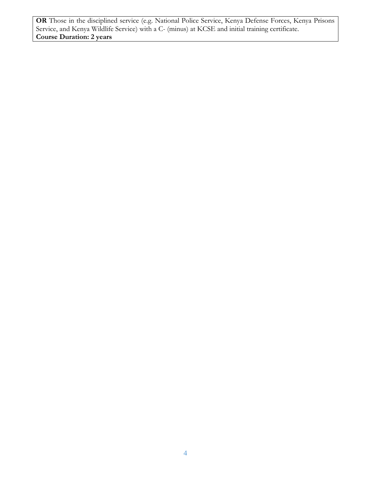**OR** Those in the disciplined service (e.g. National Police Service, Kenya Defense Forces, Kenya Prisons Service, and Kenya Wildlife Service) with a C- (minus) at KCSE and initial training certificate. **Course Duration: 2 years**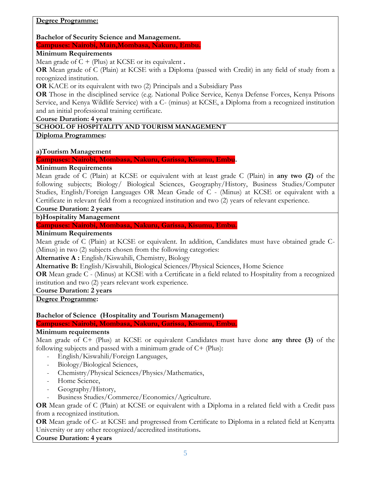# **Degree Programme:**

**Bachelor of Security Science and Management.**

**Campuses: Nairobi, Main,Mombasa, Nakuru, Embu.**

## **Minimum Requirements**

Mean grade of  $C + (Plus)$  at KCSE or its equivalent **.** 

**OR** Mean grade of C (Plain) at KCSE with a Diploma (passed with Credit) in any field of study from a recognized institution.

**OR** KACE or its equivalent with two (2) Principals and a Subsidiary Pass

**OR** Those in the disciplined service (e.g. National Police Service, Kenya Defense Forces, Kenya Prisons Service, and Kenya Wildlife Service) with a C- (minus) at KCSE, a Diploma from a recognized institution and an initial professional training certificate.

**Course Duration: 4 years**

# **SCHOOL OF HOSPITALITY AND TOURISM MANAGEMENT**

**Diploma Programmes:**

# **a)Tourism Management**

## **Campuses: Nairobi, Mombasa, Nakuru, Garissa, Kisumu, Embu.**

## **Minimum Requirements**

Mean grade of C (Plain) at KCSE or equivalent with at least grade C (Plain) in **any two (2)** of the following subjects; Biology/ Biological Sciences, Geography/History, Business Studies/Computer Studies, English/Foreign Languages OR Mean Grade of C - (Minus) at KCSE or equivalent with a Certificate in relevant field from a recognized institution and two (2) years of relevant experience.

## **Course Duration: 2 years**

**b)Hospitality Management**

**Campuses: Nairobi, Mombasa, Nakuru, Garissa, Kisumu, Embu.**

# **Minimum Requirements**

Mean grade of C (Plain) at KCSE or equivalent. In addition, Candidates must have obtained grade C- (Minus) in two (2) subjects chosen from the following categories:

**Alternative A :** English/Kiswahili, Chemistry, Biology

**Alternative B:** English/Kiswahili, Biological Sciences/Physical Sciences, Home Science

**OR** Mean grade C - (Minus) at KCSE with a Certificate in a field related to Hospitality from a recognized institution and two (2) years relevant work experience.

**Course Duration: 2 years**

**Degree Programme:**

## **Bachelor of Science (Hospitality and Tourism Management)**

**Campuses: Nairobi, Mombasa, Nakuru, Garissa, Kisumu, Embu.**

#### **Minimum requirements**

Mean grade of C+ (Plus) at KCSE or equivalent Candidates must have done **any three (3)** of the following subjects and passed with a minimum grade of C+ (Plus):

- English/Kiswahili/Foreign Languages,
- Biology/Biological Sciences,
- Chemistry/Physical Sciences/Physics/Mathematics,
- Home Science,
- Geography/History,
- Business Studies/Commerce/Economics/Agriculture.

**OR** Mean grade of C (Plain) at KCSE or equivalent with a Diploma in a related field with a Credit pass from a recognized institution.

**OR** Mean grade of C- at KCSE and progressed from Certificate to Diploma in a related field at Kenyatta University or any other recognized/accredited institutions**.**

**Course Duration: 4 years**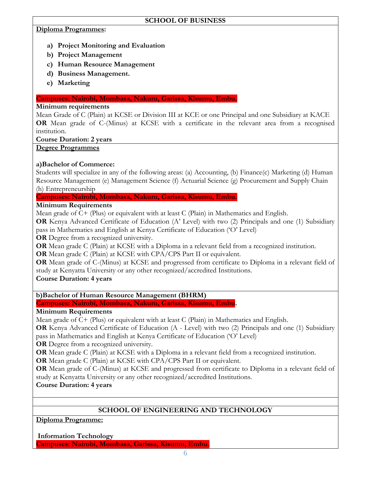# **SCHOOL OF BUSINESS**

## **Diploma Programmes:**

- **a) Project Monitoring and Evaluation**
- **b) Project Management**
- **c) Human Resource Management**
- **d) Business Management.**
- **e) Marketing**

## **Campuses: Nairobi, Mombasa, Nakuru, Garissa, Kisumu, Embu.**

# **Minimum requirements**

Mean Grade of C (Plain) at KCSE or Division III at KCE or one Principal and one Subsidiary at KACE **OR** Mean grade of C-(Minus) at KCSE with a certificate in the relevant area from a recognised institution.

**Course Duration: 2 years**

# **Degree Programmes**

# **a)Bachelor of Commerce:**

Students will specialize in any of the following areas: (a) Accounting, (b) Finance(c) Marketing (d) Human Resource Management (e) Management Science (f) Actuarial Science (g) Procurement and Supply Chain (h) Entrepreneurship

**Campuses: Nairobi, Mombasa, Nakuru, Garissa, Kisumu, Embu.**

# **Minimum Requirements**

Mean grade of C+ (Plus) or equivalent with at least C (Plain) in Mathematics and English.

**OR** Kenya Advanced Certificate of Education (A' Level) with two (2) Principals and one (1) Subsidiary pass in Mathematics and English at Kenya Certificate of Education ('O' Level)

**OR** Degree from a recognized university.

**OR** Mean grade C (Plain) at KCSE with a Diploma in a relevant field from a recognized institution.

**OR** Mean grade C (Plain) at KCSE with CPA/CPS Part II or equivalent.

**OR** Mean grade of C-(Minus) at KCSE and progressed from certificate to Diploma in a relevant field of study at Kenyatta University or any other recognized/accredited Institutions.

**Course Duration: 4 years**

# **b)Bachelor of Human Resource Management (BHRM)**

**Campuses: Nairobi, Mombasa, Nakuru, Garissa, Kisumu, Embu.**

# **Minimum Requirements**

Mean grade of C+ (Plus) or equivalent with at least C (Plain) in Mathematics and English.

**OR** Kenya Advanced Certificate of Education (A - Level) with two (2) Principals and one (1) Subsidiary pass in Mathematics and English at Kenya Certificate of Education ('O' Level)

**OR** Degree from a recognized university.

**OR** Mean grade C (Plain) at KCSE with a Diploma in a relevant field from a recognized institution.

**OR** Mean grade C (Plain) at KCSE with CPA/CPS Part II or equivalent.

**OR** Mean grade of C-(Minus) at KCSE and progressed from certificate to Diploma in a relevant field of study at Kenyatta University or any other recognized/accredited Institutions.

**Course Duration: 4 years**

# **SCHOOL OF ENGINEERING AND TECHNOLOGY**

**Diploma Programme:**

**Information Technology**

**Campuses: Nairobi, Mombasa, Garissa, Kisumu, Embu.**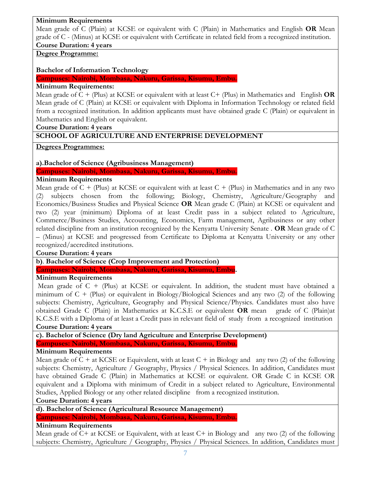## **Minimum Requirements**

Mean grade of C (Plain) at KCSE or equivalent with C (Plain) in Mathematics and English **OR** Mean grade of C - (Minus) at KCSE or equivalent with Certificate in related field from a recognized institution. **Course Duration: 4 years**

# **Degree Programme:**

# **Bachelor of Information Technology**

**Campuses: Nairobi, Mombasa, Nakuru, Garissa, Kisumu, Embu.**

# **Minimum Requirements:**

Mean grade of C + (Plus) at KCSE or equivalent with at least C+ (Plus) in Mathematics and English **OR** Mean grade of C (Plain) at KCSE or equivalent with Diploma in Information Technology or related field from a recognized institution. In addition applicants must have obtained grade C (Plain) or equivalent in Mathematics and English or equivalent.

**Course Duration: 4 years**

# **SCHOOL OF AGRICULTURE AND ENTERPRISE DEVELOPMENT**

**Degrees Programmes:**

**a).Bachelor of Science (Agribusiness Management)**

**Campuses: Nairobi, Mombasa, Nakuru, Garissa, Kisumu, Embu.**

# **Minimum Requirements**

Mean grade of  $C +$  (Plus) at KCSE or equivalent with at least  $C +$  (Plus) in Mathematics and in any two (2) subjects chosen from the following; Biology, Chemistry, Agriculture/Geography and Economics/Business Studies and Physical Science **OR** Mean grade C (Plain) at KCSE or equivalent and two (2) year (minimum) Diploma of at least Credit pass in a subject related to Agriculture, Commerce/Business Studies, Accounting, Economics, Farm management, Agribusiness or any other related discipline from an institution recognized by the Kenyatta University Senate . **OR** Mean grade of C – (Minus) at KCSE and progressed from Certificate to Diploma at Kenyatta University or any other recognized/accredited institutions.

# **Course Duration: 4 years**

**b)**. **Bachelor of Science (Crop Improvement and Protection)** 

**Campuses: Nairobi, Mombasa, Nakuru, Garissa, Kisumu, Embu.**

# **Minimum Requirements**

Mean grade of C + (Plus) at KCSE or equivalent. In addition, the student must have obtained a minimum of  $C + (Plus)$  or equivalent in Biology/Biological Sciences and any two (2) of the following subjects: Chemistry, Agriculture, Geography and Physical Science/Physics. Candidates must also have obtained Grade C (Plain) in Mathematics at K.C.S.E or equivalent **OR** mean grade of C (Plain)at K.C.S.E with a Diploma of at least a Credit pass in relevant field of study from a recognized institution

# **Course Duration: 4 years**

**c). Bachelor of Science (Dry land Agriculture and Enterprise Development) Campuses: Nairobi, Mombasa, Nakuru, Garissa, Kisumu, Embu.**

# **Minimum Requirements**

Mean grade of  $C + at$  KCSE or Equivalent, with at least  $C + in$  Biology and any two (2) of the following subjects: Chemistry, Agriculture / Geography, Physics / Physical Sciences. In addition, Candidates must have obtained Grade C (Plain) in Mathematics at KCSE or equivalent. OR Grade C in KCSE OR equivalent and a Diploma with minimum of Credit in a subject related to Agriculture, Environmental Studies, Applied Biology or any other related discipline from a recognized institution.

# **Course Duration: 4 years**

**d). Bachelor of Science (Agricultural Resource Management)**

## **Campuses: Nairobi, Mombasa, Nakuru, Garissa, Kisumu, Embu.**

# **Minimum Requirements**

Mean grade of C+ at KCSE or Equivalent, with at least C+ in Biology and any two (2) of the following subjects: Chemistry, Agriculture / Geography, Physics / Physical Sciences. In addition, Candidates must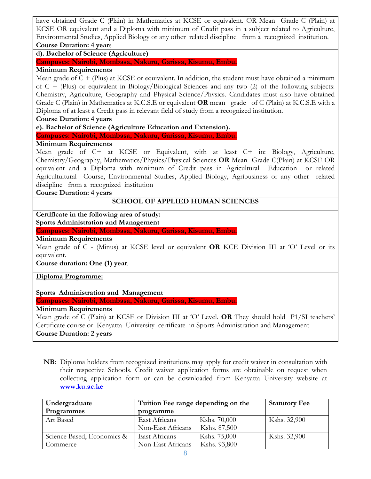have obtained Grade C (Plain) in Mathematics at KCSE or equivalent. OR Mean Grade C (Plain) at KCSE OR equivalent and a Diploma with minimum of Credit pass in a subject related to Agriculture, Environmental Studies, Applied Biology or any other related discipline from a recognized institution. **Course Duration: 4 year**s

**d). Bachelor of Science (Agriculture)**

**Campuses: Nairobi, Mombasa, Nakuru, Garissa, Kisumu, Embu.**

# **Minimum Requirements**

Mean grade of  $C +$  (Plus) at KCSE or equivalent. In addition, the student must have obtained a minimum of C + (Plus) or equivalent in Biology/Biological Sciences and any two (2) of the following subjects: Chemistry, Agriculture, Geography and Physical Science/Physics. Candidates must also have obtained Grade C (Plain) in Mathematics at K.C.S.E or equivalent **OR** mean grade of C (Plain) at K.C.S.E with a Diploma of at least a Credit pass in relevant field of study from a recognized institution.

**Course Duration: 4 years**

**e). Bachelor of Science (Agriculture Education and Extension).**

**Campuses: Nairobi, Mombasa, Nakuru, Garissa, Kisumu, Embu.**

## **Minimum Requirements**

Mean grade of C+ at KCSE or Equivalent, with at least C+ in: Biology, Agriculture, Chemistry/Geography, Mathematics/Physics/Physical Sciences **OR** Mean Grade C(Plain) at KCSE OR equivalent and a Diploma with minimum of Credit pass in Agricultural Education or related Agricultultural Course, Environmental Studies, Applied Biology, Agribusiness or any other related discipline from a recognized institution

**Course Duration: 4 years**

# **SCHOOL OF APPLIED HUMAN SCIENCES**

**Certificate in the following area of study: Sports Administration and Management**

**Campuses: Nairobi, Mombasa, Nakuru, Garissa, Kisumu, Embu.**

### **Minimum Requirements**

Mean grade of C - (Minus) at KCSE level or equivalent **OR** KCE Division III at 'O' Level or its equivalent.

**Course duration: One (1) year**.

**Diploma Programme:**

**Sports Administration and Management**

**Campuses: Nairobi, Mombasa, Nakuru, Garissa, Kisumu, Embu.**

## **Minimum Requirements**

Mean grade of C (Plain) at KCSE or Division III at 'O' Level. **OR** They should hold P1/SI teachers' Certificate course or Kenyatta University certificate in Sports Administration and Management **Course Duration: 2 years**

**NB**: Diploma holders from recognized institutions may apply for credit waiver in consultation with their respective Schools. Credit waiver application forms are obtainable on request when collecting application form or can be downloaded from Kenyatta University website at **[www.ku.ac.ke](http://www.ku.ac.ke/)**

| Undergraduate              | Tuition Fee range depending on the |              | <b>Statutory Fee</b> |
|----------------------------|------------------------------------|--------------|----------------------|
| Programmes                 | programme                          |              |                      |
| Art Based                  | East Africans                      | Kshs. 70,000 | Kshs. 32,900         |
|                            | Non-East Africans                  | Kshs. 87,500 |                      |
| Science Based, Economics & | East Africans                      | Kshs. 75,000 | Kshs. 32,900         |
| Commerce                   | Non-East Africans                  | Kshs. 93,800 |                      |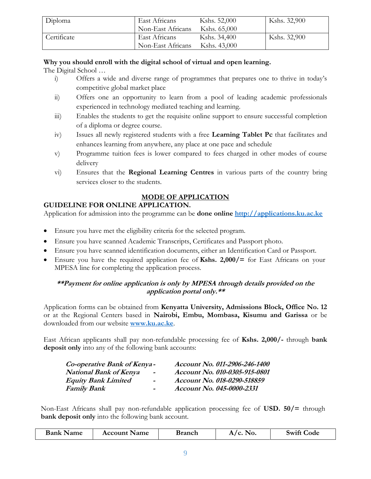| Diploma     | East Africans     | Kshs. 52,000 | Kshs. 32,900 |
|-------------|-------------------|--------------|--------------|
|             | Non-East Africans | Kshs. 65,000 |              |
| Certificate | East Africans     | Kshs. 34,400 | Kshs. 32,900 |
|             | Non-East Africans | Kshs. 43,000 |              |

# **Why you should enroll with the digital school of virtual and open learning.**

The Digital School …

- i) Offers a wide and diverse range of programmes that prepares one to thrive in today's competitive global market place
- ii) Offers one an opportunity to learn from a pool of leading academic professionals experienced in technology mediated teaching and learning.
- iii) Enables the students to get the requisite online support to ensure successful completion of a diploma or degree course.
- iv) Issues all newly registered students with a free **Learning Tablet Pc** that facilitates and enhances learning from anywhere, any place at one pace and schedule
- v) Programme tuition fees is lower compared to fees charged in other modes of course delivery
- vi) Ensures that the **Regional Learning Centres** in various parts of the country bring services closer to the students.

# **MODE OF APPLICATION**

# **GUIDELINE FOR ONLINE APPLICATION.**

Application for admission into the programme can be **done online [http://applications.ku.ac.ke](http://applications.ku.ac.ke/)**

- Ensure you have met the eligibility criteria for the selected program.
- Ensure you have scanned Academic Transcripts, Certificates and Passport photo.
- Ensure you have scanned identification documents, either an Identification Card or Passport.
- Ensure you have the required application fee of **Kshs. 2,000/=** for East Africans on your MPESA line for completing the application process.

# **\*\*Payment for online application is only by MPESA through details provided on the application portal only.\*\***

Application forms can be obtained from **Kenyatta University, Admissions Block, Office No. 12** or at the Regional Centers based in **Nairobi, Embu, Mombasa, Kisumu and Garissa** or be downloaded from our website **[www.ku.ac.ke](http://www.ku.ac.ke/)**.

East African applicants shall pay non-refundable processing fee of **Kshs. 2,000/-** through **bank deposit only** into any of the following bank accounts:

| Co-operative Bank of Kenya-   |                          | Account No. 011-2906-246-1400 |
|-------------------------------|--------------------------|-------------------------------|
| <b>National Bank of Kenya</b> | $\blacksquare$           | Account No. 010-0305-915-0801 |
| <b>Equity Bank Limited</b>    | $\blacksquare$           | Account No. 018-0290-518859   |
| <b>Family Bank</b>            | $\overline{\phantom{0}}$ | Account No. 045-0000-2331     |

Non-East Africans shall pay non-refundable application processing fee of **USD. 50/=** through **bank deposit only** into the following bank account.

|  | <b>Bank Name</b> | <b>Account Name</b><br>Branch | $A/c.$ No. | Swift C<br><b>Code</b> |
|--|------------------|-------------------------------|------------|------------------------|
|--|------------------|-------------------------------|------------|------------------------|